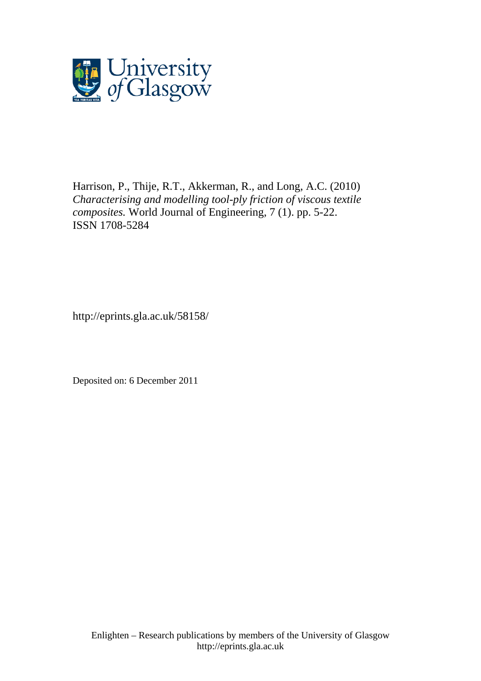

Harrison, P., Thije, R.T., Akkerman, R., and Long, A.C. (2010) *Characterising and modelling tool-ply friction of viscous textile composites.* World Journal of Engineering, 7 (1). pp. 5-22. ISSN 1708-5284

http://eprints.gla.ac.uk/58158/

Deposited on: 6 December 2011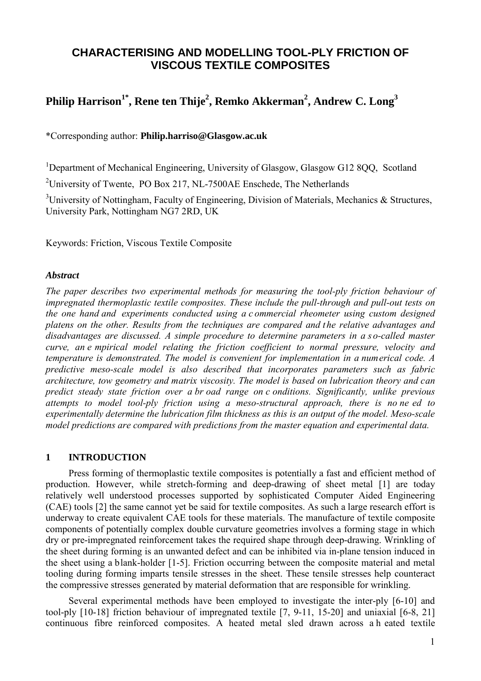# **CHARACTERISING AND MODELLING TOOL-PLY FRICTION OF VISCOUS TEXTILE COMPOSITES**

# $\mathbf{Phi}^{\mathbf{1}^*}$  **Philip Harrison** $^{1^*}$ **, Rene ten Thije** $^{2}$ **, Remko Akkerman** $^{2}$ **, Andrew C. Long** $^{3}$

\*Corresponding author: **Philip.harriso@Glasgow.ac.uk**

<sup>1</sup>Department of Mechanical Engineering, University of Glasgow, Glasgow G12 8QQ, Scotland

<sup>2</sup>University of Twente, PO Box 217, NL-7500AE Enschede, The Netherlands

<sup>3</sup>University of Nottingham, Faculty of Engineering, Division of Materials, Mechanics & Structures, University Park, Nottingham NG7 2RD, UK

Keywords: Friction, Viscous Textile Composite

## *Abstract*

*The paper describes two experimental methods for measuring the tool-ply friction behaviour of impregnated thermoplastic textile composites. These include the pull-through and pull-out tests on the one hand and experiments conducted using a c ommercial rheometer using custom designed platens on the other. Results from the techniques are compared and the relative advantages and disadvantages are discussed. A simple procedure to determine parameters in a s o-called master curve, an e mpirical model relating the friction coefficient to normal pressure, velocity and temperature is demonstrated. The model is convenient for implementation in a numerical code. A predictive meso-scale model is also described that incorporates parameters such as fabric architecture, tow geometry and matrix viscosity. The model is based on lubrication theory and can predict steady state friction over a br oad range on c onditions. Significantly, unlike previous attempts to model tool-ply friction using a meso-structural approach, there is no ne ed to experimentally determine the lubrication film thickness as this is an output of the model. Meso-scale model predictions are compared with predictions from the master equation and experimental data.* 

## **1 INTRODUCTION**

Press forming of thermoplastic textile composites is potentially a fast and efficient method of production. However, while stretch-forming and deep-drawing of sheet metal [1] are today relatively well understood processes supported by sophisticated Computer Aided Engineering (CAE) tools [2] the same cannot yet be said for textile composites. As such a large research effort is underway to create equivalent CAE tools for these materials. The manufacture of textile composite components of potentially complex double curvature geometries involves a forming stage in which dry or pre-impregnated reinforcement takes the required shape through deep-drawing. Wrinkling of the sheet during forming is an unwanted defect and can be inhibited via in-plane tension induced in the sheet using a blank-holder [1-5]. Friction occurring between the composite material and metal tooling during forming imparts tensile stresses in the sheet. These tensile stresses help counteract the compressive stresses generated by material deformation that are responsible for wrinkling.

<span id="page-1-0"></span>Several experimental methods have been employed to investigate the inter-ply [6-10] and tool-ply [10-18] friction behaviour of impregnated textile [7, 9-11, 15-20] and uniaxial [6-8, 21] continuous fibre reinforced composites. A heated metal sled drawn across a h eated textile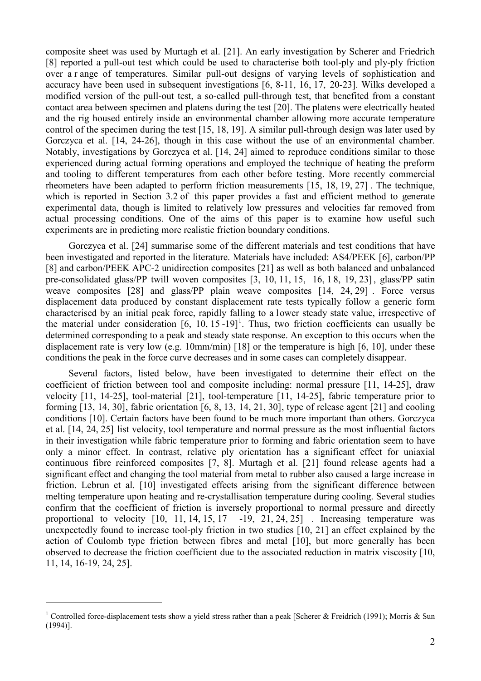composite sheet was used by Murtagh et al. [21]. An early investigation by Scherer and Friedrich [8] reported a pull-out test which could be used to characterise both tool-ply and ply-ply friction over a r ange of temperatures. Similar pull-out designs of varying levels of sophistication and accuracy have been used in subsequent investigations [6, 8-11, 16, 17, 20-23]. Wilks developed a modified version of the pull-out test, a so-called pull-through test, that benefited from a constant contact area between specimen and platens during the test [20]. The platens were electrically heated and the rig housed entirely inside an environmental chamber allowing more accurate temperature control of the specimen during the test [15, 18, 19]. A similar pull-through design was later used by Gorczyca et al. [14, 24-26], though in this case without the use of an environmental chamber. Notably, investigations by Gorczyca et al. [14, 24] aimed to reproduce conditions similar to those experienced during actual forming operations and employed the technique of heating the preform and tooling to different temperatures from each other before testing. More recently commercial rheometers have been adapted to perform friction measurements [15, 18, 19, 27] . The technique, which is reported in Section 3.2 of this paper provides a fast and efficient method to generate experimental data, though is limited to relatively low pressures and velocities far removed from actual processing conditions. One of the aims of this paper is to examine how useful such experiments are in predicting more realistic friction boundary conditions.

Gorczyca et al. [24] summarise some of the different materials and test conditions that have been investigated and reported in the literature. Materials have included: AS4/PEEK [6], carbon/PP [8] and carbon/PEEK APC-2 unidirection composites [21] as well as both balanced and unbalanced pre-consolidated glass/PP twill woven composites [3, 10, 11, 15, 16, 1 8, 19, 23], glass/PP satin weave composites [28] and glass/PP plain weave composites [14, 24, 29] . Force versus displacement data produced by constant displacement rate tests typically follow a generic form characterised by an initial peak force, rapidly falling to a lower steady state value, irrespective of the material under consideration  $[6, 10, 15 - 19]$  $[6, 10, 15 - 19]$  $[6, 10, 15 - 19]$ <sup>1</sup>. Thus, two friction coefficients can usually be determined corresponding to a peak and steady state response. An exception to this occurs when the displacement rate is very low (e.g. 10mm/min) [18] or the temperature is high [6, 10], under these conditions the peak in the force curve decreases and in some cases can completely disappear.

Several factors, listed below, have been investigated to determine their effect on the coefficient of friction between tool and composite including: normal pressure [11, 14-25], draw velocity [11, 14-25], tool-material [21], tool-temperature [11, 14-25], fabric temperature prior to forming [13, 14, 30], fabric orientation [6, 8, 13, 14, 21, 30], type of release agent [21] and cooling conditions [10]. Certain factors have been found to be much more important than others. Gorczyca et al. [14, 24, 25] list velocity, tool temperature and normal pressure as the most influential factors in their investigation while fabric temperature prior to forming and fabric orientation seem to have only a minor effect. In contrast, relative ply orientation has a significant effect for uniaxial continuous fibre reinforced composites [7, 8]. Murtagh et al. [21] found release agents had a significant effect and changing the tool material from metal to rubber also caused a large increase in friction. Lebrun et al. [10] investigated effects arising from the significant difference between melting temperature upon heating and re-crystallisation temperature during cooling. Several studies confirm that the coefficient of friction is inversely proportional to normal pressure and directly proportional to velocity  $[10, 11, 14, 15, 17 -19, 21, 24, 25]$ . Increasing temperature was unexpectedly found to increase tool-ply friction in two studies [10, 21] an effect explained by the action of Coulomb type friction between fibres and metal [10], but more generally has been observed to decrease the friction coefficient due to the associated reduction in matrix viscosity [10, 11, 14, 16-19, 24, 25].

<u>.</u>

<sup>&</sup>lt;sup>1</sup> Controlled force-displacement tests show a yield stress rather than a peak [Scherer & Freidrich (1991); Morris & Sun (1994)].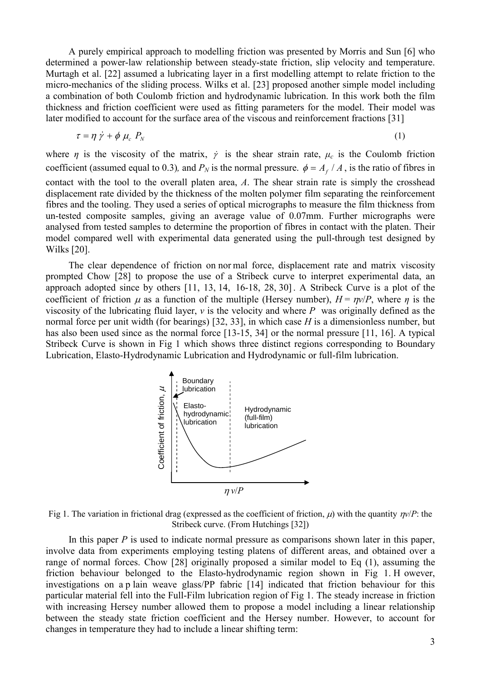A purely empirical approach to modelling friction was presented by Morris and Sun [6] who determined a power-law relationship between steady-state friction, slip velocity and temperature. Murtagh et al. [22] assumed a lubricating layer in a first modelling attempt to relate friction to the micro-mechanics of the sliding process. Wilks et al. [23] proposed another simple model including a combination of both Coulomb friction and hydrodynamic lubrication. In this work both the film thickness and friction coefficient were used as fitting parameters for the model. Their model was later modified to account for the surface area of the viscous and reinforcement fractions [31]

$$
\tau = \eta \dot{\gamma} + \phi \mu_c P_N \tag{1}
$$

where *η* is the viscosity of the matrix,  $\dot{\gamma}$  is the shear strain rate,  $\mu_c$  is the Coulomb friction coefficient (assumed equal to 0.3), and  $P_N$  is the normal pressure.  $\phi = A_f / A$ , is the ratio of fibres in contact with the tool to the overall platen area, *A*. The shear strain rate is simply the crosshead displacement rate divided by the thickness of the molten polymer film separating the reinforcement fibres and the tooling. They used a series of optical micrographs to measure the film thickness from un-tested composite samples, giving an average value of 0.07mm. Further micrographs were analysed from tested samples to determine the proportion of fibres in contact with the platen. Their model compared well with experimental data generated using the pull-through test designed by Wilks [20].

The clear dependence of friction on nor mal force, displacement rate and matrix viscosity prompted Chow [28] to propose the use of a Stribeck curve to interpret experimental data, an approach adopted since by others [11, 13, 14, 16-18, 28, 30]. A Stribeck Curve is a plot of the coefficient of friction  $\mu$  as a function of the multiple (Hersey number),  $H = \frac{nv}{P}$ , where *n* is the viscosity of the lubricating fluid layer, *v* is the velocity and where *P* was originally defined as the normal force per unit width (for bearings) [32, 33], in which case *H* is a dimensionless number, but has also been used since as the normal force [13-15, 34] or the normal pressure [11, 16]. A typical Stribeck Curve is shown in Fig 1 which shows three distinct regions corresponding to Boundary Lubrication, Elasto-Hydrodynamic Lubrication and Hydrodynamic or full-film lubrication.



Fig 1. The variation in frictional drag (expressed as the coefficient of friction,  $\mu$ ) with the quantity  $\eta v/P$ : the Stribeck curve. (From Hutchings [32])

In this paper *P* is used to indicate normal pressure as comparisons shown later in this paper, involve data from experiments employing testing platens of different areas, and obtained over a range of normal forces. Chow [28] originally proposed a similar model to Eq (1), assuming the friction behaviour belonged to the Elasto-hydrodynamic region shown in Fig 1. H owever, investigations on a p lain weave glass/PP fabric [14] indicated that friction behaviour for this particular material fell into the Full-Film lubrication region of Fig 1. The steady increase in friction with increasing Hersey number allowed them to propose a model including a linear relationship between the steady state friction coefficient and the Hersey number. However, to account for Flastochanges in temperature they had to include a linear shifting temperature they share they all the same of the same of normal forces. Chow [28] originally proposed a similarition behaviour belonged to the Elasto-hydro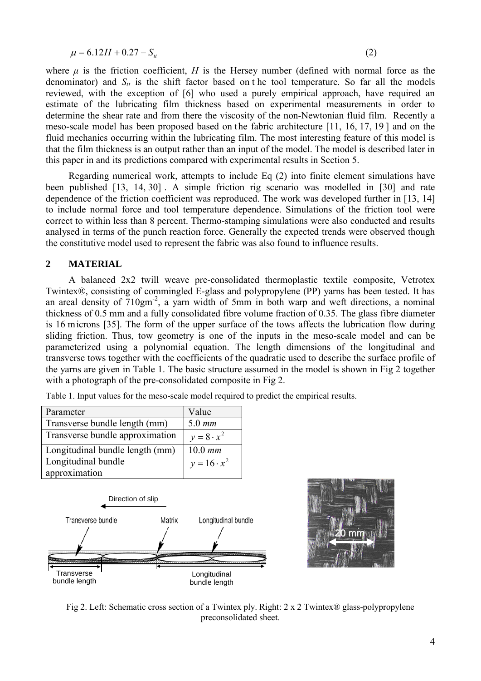$$
\mu = 6.12H + 0.27 - S_u \tag{2}
$$

where  $\mu$  is the friction coefficient, *H* is the Hersey number (defined with normal force as the denominator) and  $S_t$  is the shift factor based on the tool temperature. So far all the models reviewed, with the exception of [6] who used a purely empirical approach, have required an estimate of the lubricating film thickness based on experimental measurements in order to determine the shear rate and from there the viscosity of the non-Newtonian fluid film. Recently a meso-scale model has been proposed based on the fabric architecture [11, 16, 17, 19 ] and on the fluid mechanics occurring within the lubricating film. The most interesting feature of this model is that the film thickness is an output rather than an input of the model. The model is described later in this paper in and its predictions compared with experimental results in Section 5.

Regarding numerical work, attempts to include Eq (2) into finite element simulations have been published [13, 14, 30] . A simple friction rig scenario was modelled in [30] and rate dependence of the friction coefficient was reproduced. The work was developed further in [13, 14] to include normal force and tool temperature dependence. Simulations of the friction tool were correct to within less than 8 percent. Thermo-stamping simulations were also conducted and results analysed in terms of the punch reaction force. Generally the expected trends were observed though the constitutive model used to represent the fabric was also found to influence results.

## **2 MATERIAL**

 A balanced 2x2 twill weave pre-consolidated thermoplastic textile composite, Vetrotex Twintex®, consisting of commingled E-glass and polypropylene (PP) yarns has been tested. It has an areal density of  $710gm<sup>-2</sup>$ , a yarn width of 5mm in both warp and weft directions, a nominal thickness of 0.5 mm and a fully consolidated fibre volume fraction of 0.35. The glass fibre diameter is 16 microns [35]. The form of the upper surface of the tows affects the lubrication flow during sliding friction. Thus, tow geometry is one of the inputs in the meso-scale model and can be parameterized using a polynomial equation. The length dimensions of the longitudinal and transverse tows together with the coefficients of the quadratic used to describe the surface profile of the yarns are given in Table 1. The basic structure assumed in the model is shown in Fig 2 together with a photograph of the pre-consolidated composite in Fig 2.

| Parameter                       | Value              |
|---------------------------------|--------------------|
| Transverse bundle length (mm)   | $5.0$ mm           |
| Transverse bundle approximation | $y=8 \cdot x^2$    |
| Longitudinal bundle length (mm) | $10.0$ mm          |
| Longitudinal bundle             | $y = 16 \cdot x^2$ |
| approximation                   |                    |

Table 1. Input values for the meso-scale model required to predict the empirical results.





Fig 2. Left: Schematic cross section of a Twintex ply. Right: 2 x 2 Twintex® glass-polypropylene preconsolidated sheet.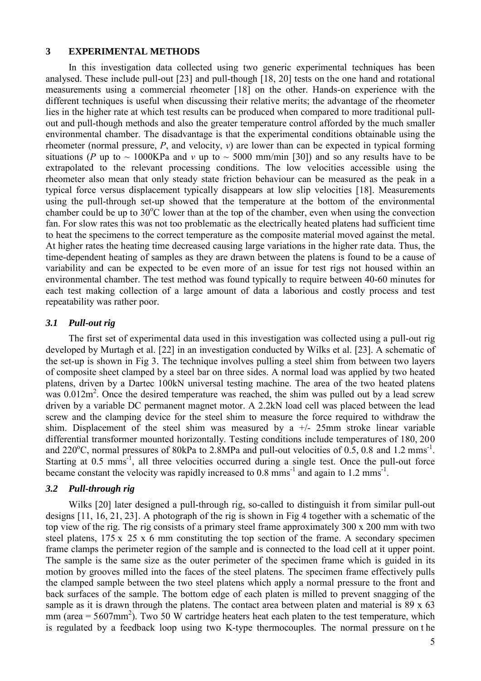## **3 EXPERIMENTAL METHODS**

In this investigation data collected using two generic experimental techniques has been analysed. These include pull-out [23] and pull-though [18, 20] tests on the one hand and rotational measurements using a commercial rheometer [18] on the other. Hands-on experience with the different techniques is useful when discussing their relative merits; the advantage of the rheometer lies in the higher rate at which test results can be produced when compared to more traditional pullout and pull-though methods and also the greater temperature control afforded by the much smaller environmental chamber. The disadvantage is that the experimental conditions obtainable using the rheometer (normal pressure,  $P$ , and velocity,  $v$ ) are lower than can be expected in typical forming situations (*P* up to  $\sim 1000 \text{KPa}$  and *v* up to  $\sim 5000 \text{ mm/min}$  [30]) and so any results have to be extrapolated to the relevant processing conditions. The low velocities accessible using the rheometer also mean that only steady state friction behaviour can be measured as the peak in a typical force versus displacement typically disappears at low slip velocities [18]. Measurements using the pull-through set-up showed that the temperature at the bottom of the environmental chamber could be up to  $30^{\circ}$ C lower than at the top of the chamber, even when using the convection fan. For slow rates this was not too problematic as the electrically heated platens had sufficient time to heat the specimens to the correct temperature as the composite material moved against the metal. At higher rates the heating time decreased causing large variations in the higher rate data. Thus, the time-dependent heating of samples as they are drawn between the platens is found to be a cause of variability and can be expected to be even more of an issue for test rigs not housed within an environmental chamber. The test method was found typically to require between 40-60 minutes for each test making collection of a large amount of data a laborious and costly process and test repeatability was rather poor.

## *3.1 Pull-out rig*

The first set of experimental data used in this investigation was collected using a pull-out rig developed by Murtagh et al. [22] in an investigation conducted by Wilks et al. [23]. A schematic of the set-up is shown in Fig 3. The technique involves pulling a steel shim from between two layers of composite sheet clamped by a steel bar on three sides. A normal load was applied by two heated platens, driven by a Dartec 100kN universal testing machine. The area of the two heated platens was  $0.012m^2$ . Once the desired temperature was reached, the shim was pulled out by a lead screw driven by a variable DC permanent magnet motor. A 2.2kN load cell was placed between the lead screw and the clamping device for the steel shim to measure the force required to withdraw the shim. Displacement of the steel shim was measured by a  $+/-$  25mm stroke linear variable differential transformer mounted horizontally. Testing conditions include temperatures of 180, 200 and  $220^{\circ}$ C, normal pressures of 80kPa to 2.8MPa and pull-out velocities of 0.5, 0.8 and 1.2 mms<sup>-1</sup>. Starting at 0.5 mms<sup>-1</sup>, all three velocities occurred during a single test. Once the pull-out force became constant the velocity was rapidly increased to  $0.8 \text{ mm s}^{-1}$  and again to  $1.2 \text{ mm s}^{-1}$ .

## *3.2 Pull-through rig*

Wilks [20] later designed a pull-through rig, so-called to distinguish it from similar pull-out designs [11, 16, 21, 23]. A photograph of the rig is shown in Fig 4 together with a schematic of the top view of the rig. The rig consists of a primary steel frame approximately 300 x 200 mm with two steel platens, 175 x 25 x 6 mm constituting the top section of the frame. A secondary specimen frame clamps the perimeter region of the sample and is connected to the load cell at it upper point. The sample is the same size as the outer perimeter of the specimen frame which is guided in its motion by grooves milled into the faces of the steel platens. The specimen frame effectively pulls the clamped sample between the two steel platens which apply a normal pressure to the front and back surfaces of the sample. The bottom edge of each platen is milled to prevent snagging of the sample as it is drawn through the platens. The contact area between platen and material is 89 x 63  $mm$  (area = 5607mm<sup>2</sup>). Two 50 W cartridge heaters heat each platen to the test temperature, which is regulated by a feedback loop using two K-type thermocouples. The normal pressure on t he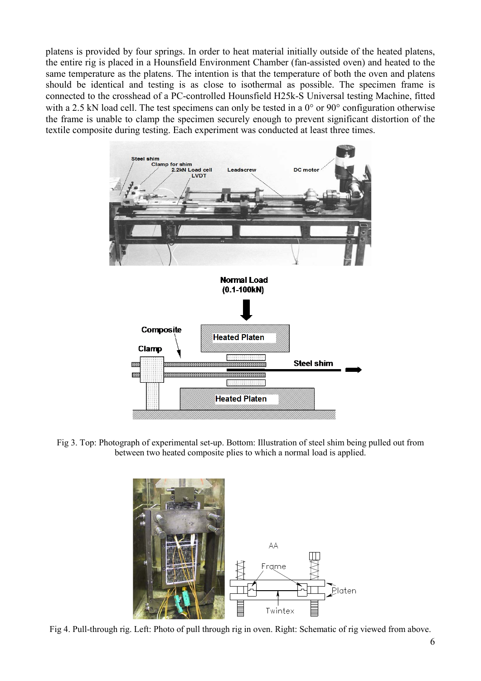platens is provided by four springs. In order to heat material initially outside of the heated platens, the entire rig is placed in a Hounsfield Environment Chamber (fan-assisted oven) and heated to the same temperature as the platens. The intention is that the temperature of both the oven and platens should be identical and testing is as close to isothermal as possible. The specimen frame is connected to the crosshead of a PC-controlled Hounsfield H25k-S Universal testing Machine, fitted with a 2.5 kN load cell. The test specimens can only be tested in a 0° or 90° configuration otherwise the frame is unable to clamp the specimen securely enough to prevent significant distortion of the textile composite during testing. Each experiment was conducted at least three times.



Fig 3. Top: Photograph of experimental set-up. Bottom: Illustration of steel shim being pulled out from between two heated composite plies to which a normal load is applied.



Fig 4. Pull-through rig. Left: Photo of pull through rig in oven. Right: Schematic of rig viewed from above.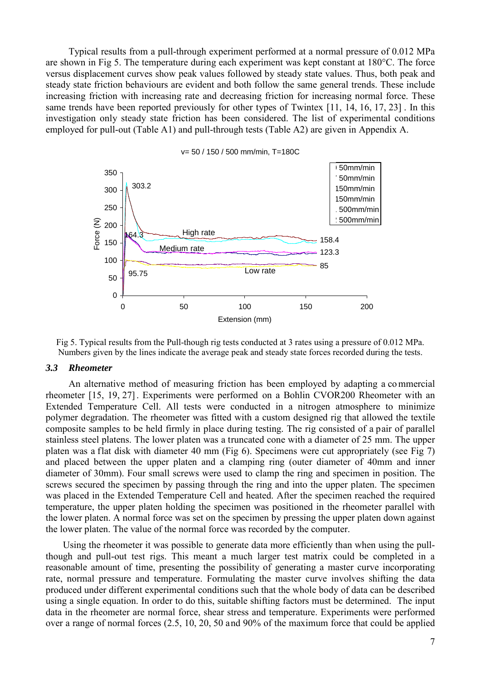Typical results from a pull-through experiment performed at a normal pressure of 0.012 MPa are shown in Fig 5. The temperature during each experiment was kept constant at 180°C. The force versus displacement curves show peak values followed by steady state values. Thus, both peak and steady state friction behaviours are evident and both follow the same general trends. These include increasing friction with increasing rate and decreasing friction for increasing normal force. These same trends have been reported previously for other types of Twintex [11, 14, 16, 17, 23]. In this investigation only steady state friction has been considered. The list of experimental conditions employed for pull-out (Table A1) and pull-through tests (Table A2) are given in Appendix A.



Fig 5. Typical results from the Pull-though rig tests conducted at 3 rates using a pressure of 0.012 MPa. Numbers given by the lines indicate the average peak and steady state forces recorded during the tests.

#### *3.3 Rheometer*

An alternative method of measuring friction has been employed by adapting a co mmercial rheometer [15, 19, 27]. Experiments were performed on a Bohlin CVOR200 Rheometer with an Extended Temperature Cell. All tests were conducted in a nitrogen atmosphere to minimize polymer degradation. The rheometer was fitted with a custom designed rig that allowed the textile composite samples to be held firmly in place during testing. The rig consisted of a pair of parallel stainless steel platens. The lower platen was a truncated cone with a diameter of 25 mm. The upper platen was a flat disk with diameter 40 mm (Fig 6). Specimens were cut appropriately (see Fig 7) and placed between the upper platen and a clamping ring (outer diameter of 40mm and inner diameter of 30mm). Four small screws were used to clamp the ring and specimen in position. The screws secured the specimen by passing through the ring and into the upper platen. The specimen was placed in the Extended Temperature Cell and heated. After the specimen reached the required temperature, the upper platen holding the specimen was positioned in the rheometer parallel with the lower platen. A normal force was set on the specimen by pressing the upper platen down against the lower platen. The value of the normal force was recorded by the computer.

Using the rheometer it was possible to generate data more efficiently than when using the pullthough and pull-out test rigs. This meant a much larger test matrix could be completed in a reasonable amount of time, presenting the possibility of generating a master curve incorporating rate, normal pressure and temperature. Formulating the master curve involves shifting the data produced under different experimental conditions such that the whole body of data can be described using a single equation. In order to do this, suitable shifting factors must be determined. The input data in the rheometer are normal force, shear stress and temperature. Experiments were performed over a range of normal forces (2.5, 10, 20, 50 and 90% of the maximum force that could be applied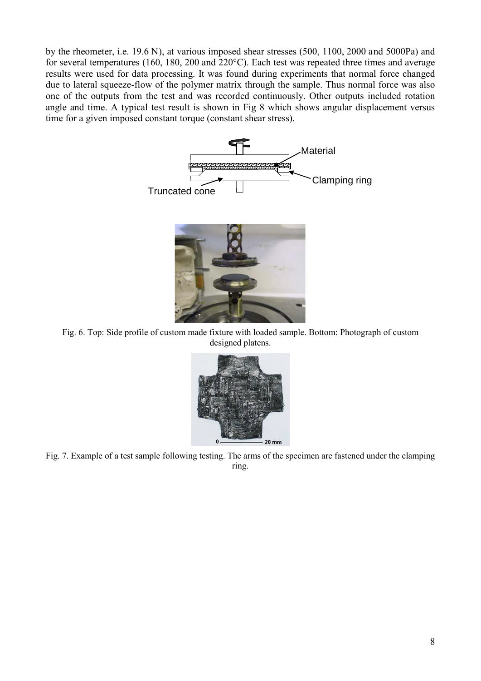by the rheometer, i.e. 19.6 N), at various imposed shear stresses (500, 1100, 2000 and 5000Pa) and for several temperatures (160, 180, 200 and 220°C). Each test was repeated three times and average results were used for data processing. It was found during experiments that normal force changed due to lateral squeeze-flow of the polymer matrix through the sample. Thus normal force was also one of the outputs from the test and was recorded continuously. Other outputs included rotation angle and time. A typical test result is shown in Fig 8 which shows angular displacement versus time for a given imposed constant torque (constant shear stress).



Fig. 6. Top: Side profile of custom made fixture with loaded sample. Bottom: Photograph of custom designed platens.



Fig. 7. Example of a test sample following testing. The arms of the specimen are fastened under the clamping ring.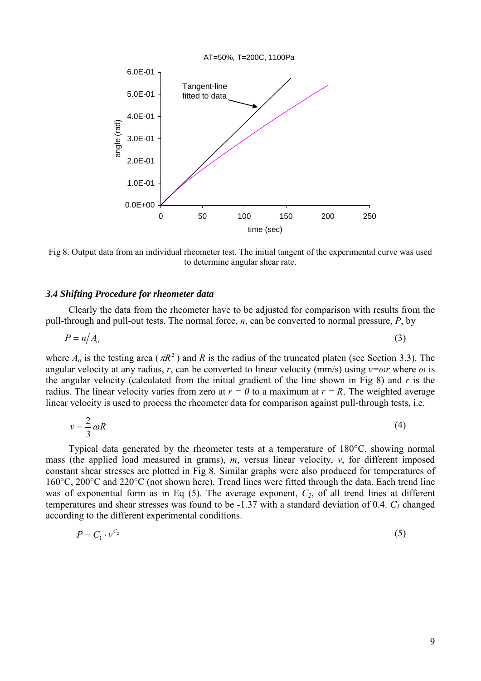

Fig 8. Output data from an individual rheometer test. The initial tangent of the experimental curve was used to determine angular shear rate.

#### *3.4 Shifting Procedure for rheometer data*

Clearly the data from the rheometer have to be adjusted for comparison with results from the pull-through and pull-out tests. The normal force, *n*, can be converted to normal pressure, *P*, by

$$
P = n/A_o \tag{3}
$$

where  $A_0$  is the testing area ( $\pi R^2$ ) and *R* is the radius of the truncated platen (see Section 3.3). The angular velocity at any radius, *r*, can be converted to linear velocity (mm/s) using  $v=ωr$  where  $ω$  is the angular velocity (calculated from the initial gradient of the line shown in Fig 8) and *r* is the radius. The linear velocity varies from zero at  $r = 0$  to a maximum at  $r = R$ . The weighted average linear velocity is used to process the rheometer data for comparison against pull-through tests, i.e.

$$
v = \frac{2}{3}\omega R\tag{4}
$$

Typical data generated by the rheometer tests at a temperature of 180°C, showing normal mass (the applied load measured in grams),  $m$ , versus linear velocity,  $v$ , for different imposed constant shear stresses are plotted in Fig 8. Similar graphs were also produced for temperatures of 160°C, 200°C and 220°C (not shown here). Trend lines were fitted through the data. Each trend line was of exponential form as in Eq  $(5)$ . The average exponent,  $C_2$ , of all trend lines at different temperatures and shear stresses was found to be -1.37 with a standard deviation of 0.4. *C1* changed according to the different experimental conditions.

$$
P = C_1 \cdot v^{C_2} \tag{5}
$$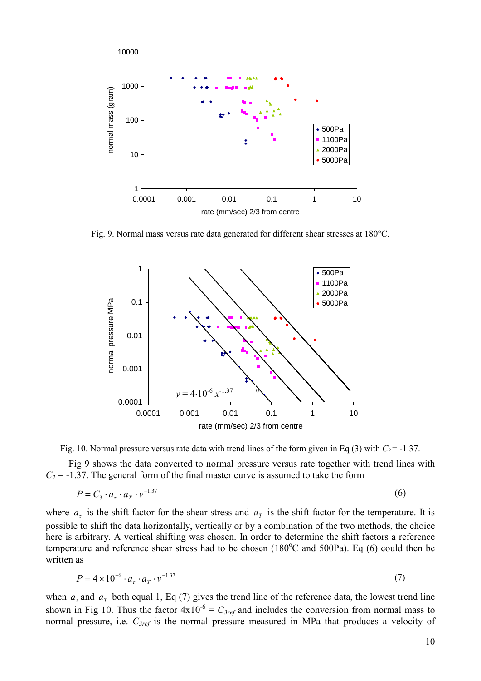

Fig. 9. Normal mass versus rate data generated for different shear stresses at 180°C.



Fig. 10. Normal pressure versus rate data with trend lines of the form given in Eq (3) with  $C_2$  = -1.37.

Fig 9 shows the data converted to normal pressure versus rate together with trend lines with  $C_2$  = -1.37. The general form of the final master curve is assumed to take the form

$$
P = C_3 \cdot a_\tau \cdot a_T \cdot v^{-1.37} \tag{6}
$$

where  $a_r$  is the shift factor for the shear stress and  $a_r$  is the shift factor for the temperature. It is possible to shift the data horizontally, vertically or by a combination of the two methods, the choice here is arbitrary. A vertical shifting was chosen. In order to determine the shift factors a reference temperature and reference shear stress had to be chosen  $(180^{\circ}$ C and 500Pa). Eq (6) could then be written as

$$
P = 4 \times 10^{-6} \cdot a_{\tau} \cdot a_{T} \cdot v^{-1.37}
$$

when  $a<sub>r</sub>$  and  $a<sub>r</sub>$  both equal 1, Eq (7) gives the trend line of the reference data, the lowest trend line shown in Fig 10. Thus the factor  $4x10^{-6} = C_{3ref}$  and includes the conversion from normal mass to normal pressure, i.e. *C3ref* is the normal pressure measured in MPa that produces a velocity of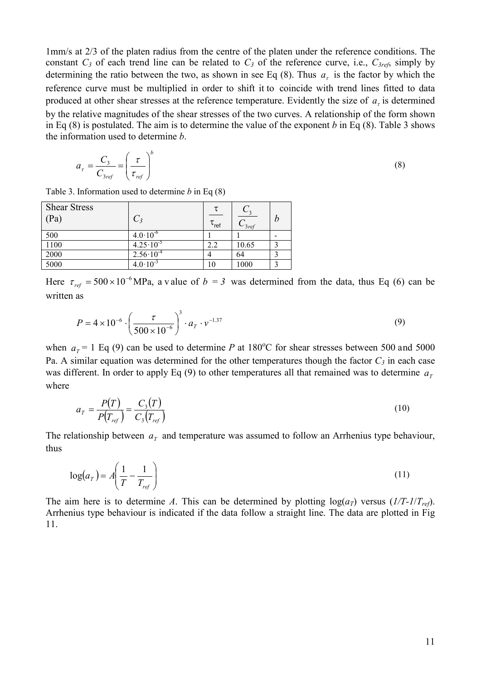1mm/s at 2/3 of the platen radius from the centre of the platen under the reference conditions. The constant  $C_3$  of each trend line can be related to  $C_3$  of the reference curve, i.e.,  $C_{3ref}$ , simply by determining the ratio between the two, as shown in see Eq (8). Thus  $a<sub>r</sub>$  is the factor by which the reference curve must be multiplied in order to shift it to coincide with trend lines fitted to data produced at other shear stresses at the reference temperature. Evidently the size of  $a<sub>r</sub>$  is determined by the relative magnitudes of the shear stresses of the two curves. A relationship of the form shown in Eq (8) is postulated. The aim is to determine the value of the exponent *b* in Eq (8). Table 3 shows the information used to determine *b*.

$$
a_{\tau} = \frac{C_3}{C_{3ref}} = \left(\frac{\tau}{\tau_{ref}}\right)^b
$$
\n(8)

Table 3. Information used to determine *b* in Eq (8)

| <b>Shear Stress</b><br>(Pa) | $C_3$                | $\tau_{\sf ref}$ | $\degree$ 3 ref | h |
|-----------------------------|----------------------|------------------|-----------------|---|
| 500                         | $4.0 \cdot 10^{-6}$  |                  |                 |   |
| 1100                        | $4.25 \cdot 10^{-5}$ | 2.2              | 10.65           |   |
| 2000                        | $2.56 \cdot 10^{-4}$ |                  | 64              |   |
| 5000                        | $4.0 \cdot 10^{-3}$  |                  | 1000            |   |

Here  $\tau_{ref} = 500 \times 10^{-6}$  MPa, a v alue of  $b = 3$  was determined from the data, thus Eq (6) can be written as

$$
P = 4 \times 10^{-6} \cdot \left(\frac{\tau}{500 \times 10^{-6}}\right)^3 \cdot a_T \cdot v^{-1.37}
$$
 (9)

when  $a_T = 1$  Eq (9) can be used to determine *P* at 180<sup>o</sup>C for shear stresses between 500 and 5000 Pa. A similar equation was determined for the other temperatures though the factor  $C_3$  in each case was different. In order to apply Eq (9) to other temperatures all that remained was to determine  $a<sub>r</sub>$ where

$$
a_T = \frac{P(T)}{P(T_{ref})} = \frac{C_3(T)}{C_3(T_{ref})}
$$
\n
$$
(10)
$$

The relationship between  $a<sub>T</sub>$  and temperature was assumed to follow an Arrhenius type behaviour, thus

$$
\log(a_T) = A \left( \frac{1}{T} - \frac{1}{T_{ref}} \right) \tag{11}
$$

The aim here is to determine *A*. This can be determined by plotting  $log(a_T)$  versus (*1/T-1/T<sub>ref</sub>*). Arrhenius type behaviour is indicated if the data follow a straight line. The data are plotted in Fig 11.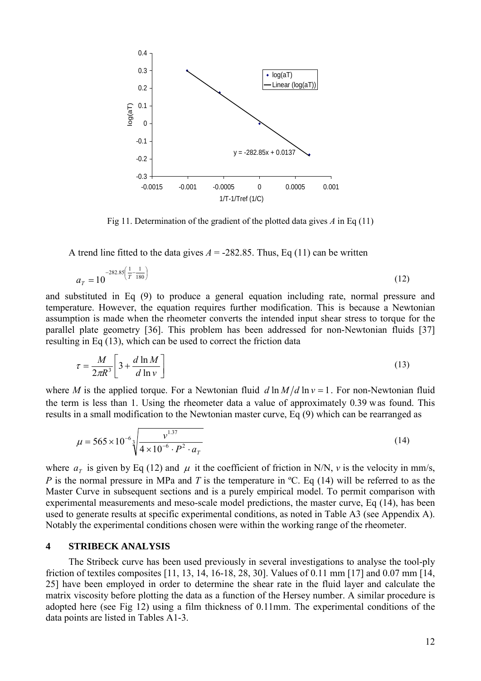

Fig 11. Determination of the gradient of the plotted data gives *A* in Eq (11)

A trend line fitted to the data gives  $A = -282.85$ . Thus, Eq (11) can be written

$$
a_T = 10^{-282.85 \left(\frac{1}{T} - \frac{1}{180}\right)}\tag{12}
$$

and substituted in Eq (9) to produce a general equation including rate, normal pressure and temperature. However, the equation requires further modification. This is because a Newtonian assumption is made when the rheometer converts the intended input shear stress to torque for the parallel plate geometry [36]. This problem has been addressed for non-Newtonian fluids [37] resulting in Eq (13), which can be used to correct the friction data

$$
\tau = \frac{M}{2\pi R^3} \left[ 3 + \frac{d \ln M}{d \ln v} \right] \tag{13}
$$

where *M* is the applied torque. For a Newtonian fluid  $d \ln M/d \ln v = 1$ . For non-Newtonian fluid the term is less than 1. Using the rheometer data a value of approximately 0.39 was found. This results in a small modification to the Newtonian master curve, Eq (9) which can be rearranged as

$$
\mu = 565 \times 10^{-6} \sqrt[3]{\frac{v^{1.37}}{4 \times 10^{-6} \cdot P^2 \cdot a_T}}
$$
 (14)

where  $a_r$  is given by Eq (12) and  $\mu$  it the coefficient of friction in N/N, *v* is the velocity in mm/s, *P* is the normal pressure in MPa and *T* is the temperature in <sup>o</sup>C. Eq (14) will be referred to as the Master Curve in subsequent sections and is a purely empirical model. To permit comparison with experimental measurements and meso-scale model predictions, the master curve, Eq (14), has been used to generate results at specific experimental conditions, as noted in Table A3 (see Appendix A). Notably the experimental conditions chosen were within the working range of the rheometer.

## **4 STRIBECK ANALYSIS**

The Stribeck curve has been used previously in several investigations to analyse the tool-ply friction of textiles composites [11, 13, 14, 16-18, 28, 30]. Values of 0.11 mm [17] and 0.07 mm [14, 25] have been employed in order to determine the shear rate in the fluid layer and calculate the matrix viscosity before plotting the data as a function of the Hersey number. A similar procedure is adopted here (see Fig 12) using a film thickness of 0.11mm. The experimental conditions of the data points are listed in Tables A1-3.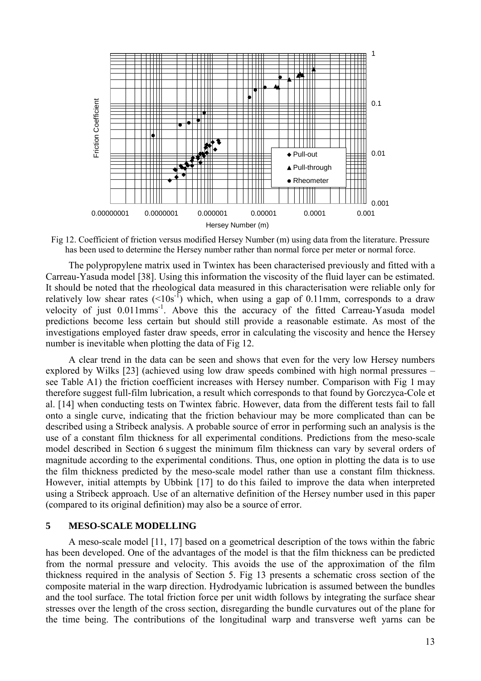

Fig 12. Coefficient of friction versus modified Hersey Number (m) using data from the literature. Pressure has been used to determine the Hersey number rather than normal force per meter or normal force.

The polypropylene matrix used in Twintex has been characterised previously and fitted with a Carreau-Yasuda model [38]. Using this information the viscosity of the fluid layer can be estimated. It should be noted that the rheological data measured in this characterisation were reliable only for relatively low shear rates  $(<10s<sup>-1</sup>)$  which, when using a gap of 0.11mm, corresponds to a draw velocity of just 0.011mms<sup>-1</sup>. Above this the accuracy of the fitted Carreau-Yasuda model predictions become less certain but should still provide a reasonable estimate. As most of the investigations employed faster draw speeds, error in calculating the viscosity and hence the Hersey number is inevitable when plotting the data of Fig 12.

A clear trend in the data can be seen and shows that even for the very low Hersey numbers explored by Wilks [23] (achieved using low draw speeds combined with high normal pressures – see Table A1) the friction coefficient increases with Hersey number. Comparison with Fig 1 may therefore suggest full-film lubrication, a result which corresponds to that found by Gorczyca-Cole et al. [14] when conducting tests on Twintex fabric. However, data from the different tests fail to fall onto a single curve, indicating that the friction behaviour may be more complicated than can be described using a Stribeck analysis. A probable source of error in performing such an analysis is the use of a constant film thickness for all experimental conditions. Predictions from the meso-scale model described in Section 6 suggest the minimum film thickness can vary by several orders of magnitude according to the experimental conditions. Thus, one option in plotting the data is to use the film thickness predicted by the meso-scale model rather than use a constant film thickness. However, initial attempts by Ubbink [17] to do this failed to improve the data when interpreted using a Stribeck approach. Use of an alternative definition of the Hersey number used in this paper (compared to its original definition) may also be a source of error.

#### **5 MESO-SCALE MODELLING**

A meso-scale model [11, 17] based on a geometrical description of the tows within the fabric has been developed. One of the advantages of the model is that the film thickness can be predicted from the normal pressure and velocity. This avoids the use of the approximation of the film thickness required in the analysis of Section 5. Fig 13 presents a schematic cross section of the composite material in the warp direction. Hydrodyamic lubrication is assumed between the bundles and the tool surface. The total friction force per unit width follows by integrating the surface shear stresses over the length of the cross section, disregarding the bundle curvatures out of the plane for the time being. The contributions of the longitudinal warp and transverse weft yarns can be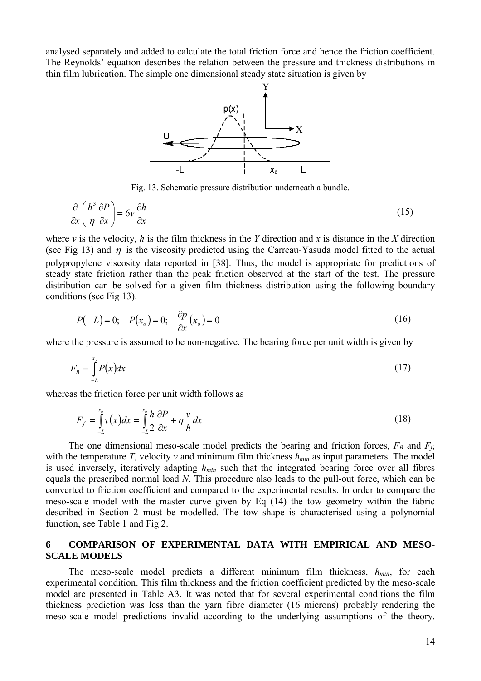analysed separately and added to calculate the total friction force and hence the friction coefficient. The Reynolds' equation describes the relation between the pressure and thickness distributions in thin film lubrication. The simple one dimensional steady state situation is given by



Fig. 13. Schematic pressure distribution underneath a bundle.

$$
\frac{\partial}{\partial x} \left( \frac{h^3}{\eta} \frac{\partial P}{\partial x} \right) = 6v \frac{\partial h}{\partial x}
$$
\n(15)

where *v* is the velocity, *h* is the film thickness in the *Y* direction and *x* is distance in the *X* direction (see Fig 13) and  $\eta$  is the viscosity predicted using the Carreau-Yasuda model fitted to the actual polypropylene viscosity data reported in [38]. Thus, the model is appropriate for predictions of steady state friction rather than the peak friction observed at the start of the test. The pressure distribution can be solved for a given film thickness distribution using the following boundary conditions (see Fig 13).

$$
P(-L) = 0;
$$
  $P(x_o) = 0;$   $\frac{\partial p}{\partial x}(x_o) = 0$  (16)

where the pressure is assumed to be non-negative. The bearing force per unit width is given by

$$
F_B = \int_{-L}^{x_o} P(x) dx \tag{17}
$$

whereas the friction force per unit width follows as

$$
F_f = \int_{-L}^{x_o} \tau(x) dx = \int_{-L}^{x_o} \frac{h}{2} \frac{\partial P}{\partial x} + \eta \frac{v}{h} dx
$$
\n(18)

The one dimensional meso-scale model predicts the bearing and friction forces,  $F_B$  and  $F_f$ , with the temperature *T*, velocity *v* and minimum film thickness  $h_{min}$  as input parameters. The model is used inversely, iteratively adapting  $h_{min}$  such that the integrated bearing force over all fibres equals the prescribed normal load *N*. This procedure also leads to the pull-out force, which can be converted to friction coefficient and compared to the experimental results. In order to compare the meso-scale model with the master curve given by Eq (14) the tow geometry within the fabric described in Section 2 must be modelled. The tow shape is characterised using a polynomial function, see Table 1 and Fig 2.

## **6 COMPARISON OF EXPERIMENTAL DATA WITH EMPIRICAL AND MESO-SCALE MODELS**

The meso-scale model predicts a different minimum film thickness,  $h_{min}$ , for each experimental condition. This film thickness and the friction coefficient predicted by the meso-scale model are presented in Table A3. It was noted that for several experimental conditions the film thickness prediction was less than the yarn fibre diameter (16 microns) probably rendering the meso-scale model predictions invalid according to the underlying assumptions of the theory.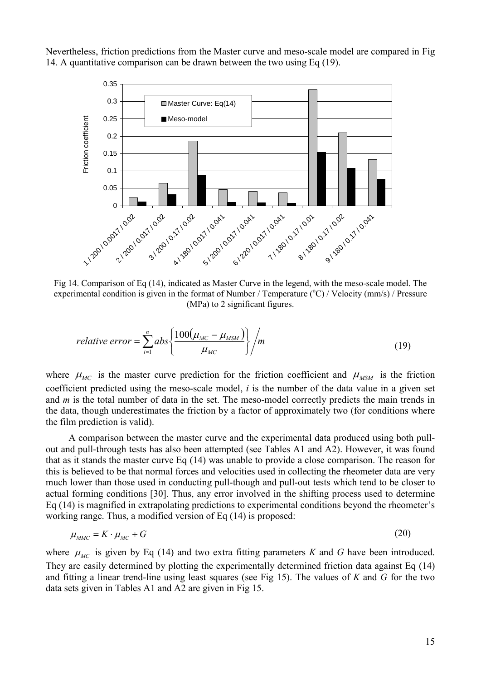Nevertheless, friction predictions from the Master curve and meso-scale model are compared in Fig 14. A quantitative comparison can be drawn between the two using Eq (19).



Fig 14. Comparison of Eq (14), indicated as Master Curve in the legend, with the meso-scale model. The experimental condition is given in the format of Number / Temperature (°C) / Velocity (mm/s) / Pressure (MPa) to 2 significant figures.

relative error = 
$$
\sum_{i=1}^{n} abs \left\{ \frac{100(\mu_{MC} - \mu_{MSM})}{\mu_{MC}} \right\} / m
$$
 (19)

where  $\mu_{MC}$  is the master curve prediction for the friction coefficient and  $\mu_{MSM}$  is the friction coefficient predicted using the meso-scale model, *i* is the number of the data value in a given set and *m* is the total number of data in the set. The meso-model correctly predicts the main trends in the data, though underestimates the friction by a factor of approximately two (for conditions where the film prediction is valid).

 A comparison between the master curve and the experimental data produced using both pullout and pull-through tests has also been attempted (see Tables A1 and A2). However, it was found that as it stands the master curve Eq (14) was unable to provide a close comparison. The reason for this is believed to be that normal forces and velocities used in collecting the rheometer data are very much lower than those used in conducting pull-though and pull-out tests which tend to be closer to actual forming conditions [30]. Thus, any error involved in the shifting process used to determine Eq (14) is magnified in extrapolating predictions to experimental conditions beyond the rheometer's working range. Thus, a modified version of Eq (14) is proposed:

$$
\mu_{\text{AMC}} = K \cdot \mu_{\text{MC}} + G \tag{20}
$$

where  $\mu_{MC}$  is given by Eq (14) and two extra fitting parameters *K* and *G* have been introduced. They are easily determined by plotting the experimentally determined friction data against Eq (14) and fitting a linear trend-line using least squares (see Fig 15). The values of *K* and *G* for the two data sets given in Tables A1 and A2 are given in Fig 15.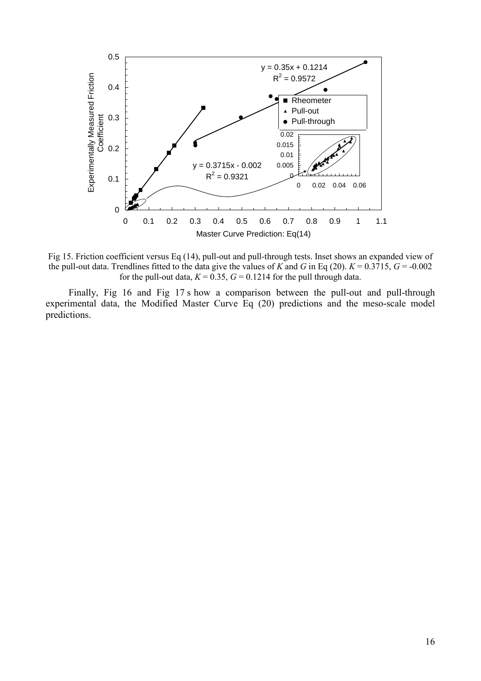

Fig 15. Friction coefficient versus Eq (14), pull-out and pull-through tests. Inset shows an expanded view of the pull-out data. Trendlines fitted to the data give the values of *K* and *G* in Eq (20).  $K = 0.3715$ ,  $G = -0.002$ for the pull-out data,  $K = 0.35$ ,  $G = 0.1214$  for the pull through data.

Finally, Fig 16 and Fig 17 s how a comparison between the pull-out and pull-through experimental data, the Modified Master Curve Eq (20) predictions and the meso-scale model predictions.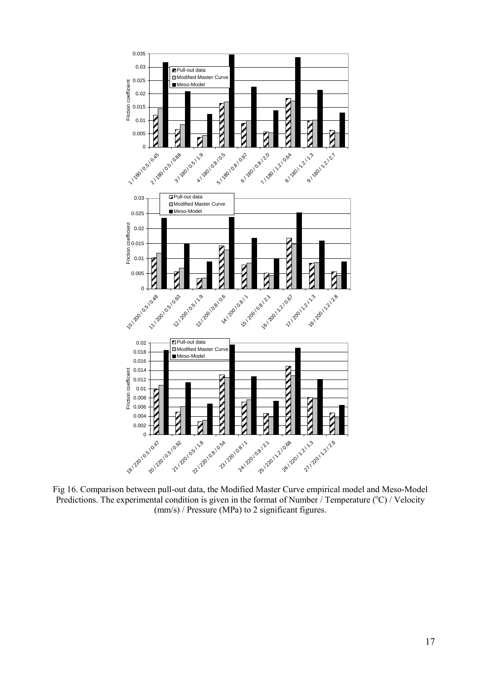

Fig 16. Comparison between pull-out data, the Modified Master Curve empirical model and Meso-Model Predictions. The experimental condition is given in the format of Number / Temperature (°C) / Velocity (mm/s) / Pressure (MPa) to 2 significant figures.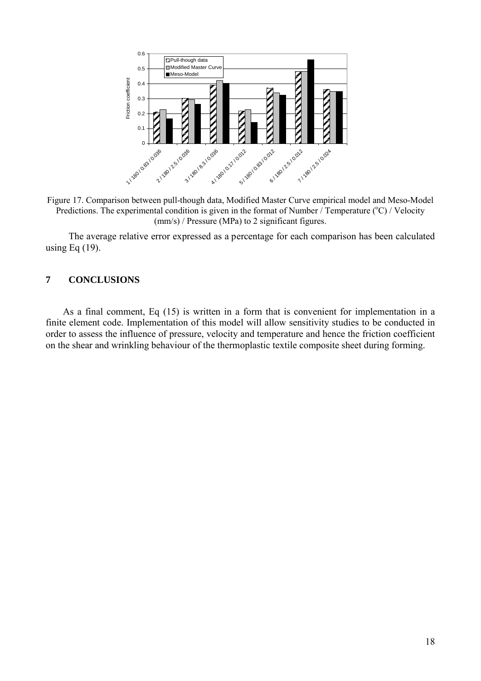

Figure 17. Comparison between pull-though data, Modified Master Curve empirical model and Meso-Model Predictions. The experimental condition is given in the format of Number  $/$  Temperature ( $\degree$ C) / Velocity (mm/s) / Pressure (MPa) to 2 significant figures.

The average relative error expressed as a percentage for each comparison has been calculated using Eq  $(19)$ .

## **7 CONCLUSIONS**

As a final comment, Eq (15) is written in a form that is convenient for implementation in a finite element code. Implementation of this model will allow sensitivity studies to be conducted in order to assess the influence of pressure, velocity and temperature and hence the friction coefficient on the shear and wrinkling behaviour of the thermoplastic textile composite sheet during forming.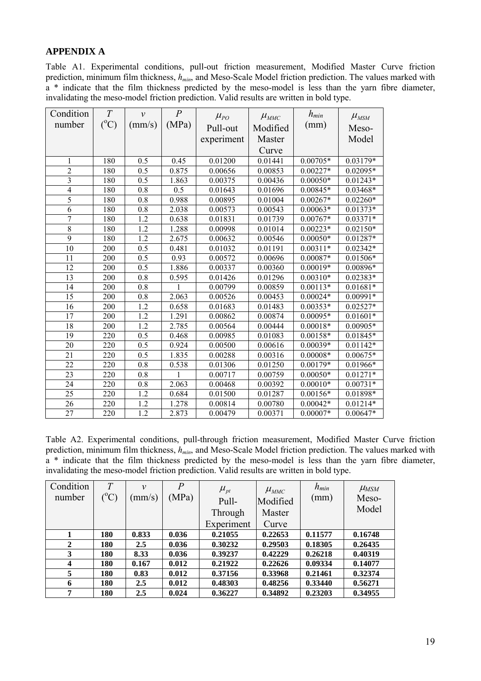## **APPENDIX A**

Table A1. Experimental conditions, pull-out friction measurement, Modified Master Curve friction prediction, minimum film thickness,  $h_{min}$ , and Meso-Scale Model friction prediction. The values marked with a \* indicate that the film thickness predicted by the meso-model is less than the yarn fibre diameter, invalidating the meso-model friction prediction. Valid results are written in bold type.

| Condition                | T               | $\mathcal{V}$    | $\overline{P}$ | $\mu_{PO}$ | $\mu_{\textit{MMC}}$ | $h_{min}$  | $\mu_{\rm \scriptscriptstyle MSM}$ |
|--------------------------|-----------------|------------------|----------------|------------|----------------------|------------|------------------------------------|
| number                   | $({}^{\circ}C)$ | (mm/s)           | (MPa)          | Pull-out   | Modified             | (mm)       | Meso-                              |
|                          |                 |                  |                | experiment | Master               |            | Model                              |
|                          |                 |                  |                |            |                      |            |                                    |
|                          |                 |                  |                |            | Curve                |            |                                    |
| 1                        | 180             | 0.5              | 0.45           | 0.01200    | 0.01441              | $0.00705*$ | 0.03179*                           |
| $\overline{2}$           | 180             | 0.5              | 0.875          | 0.00656    | 0.00853              | $0.00227*$ | 0.02095*                           |
| 3                        | 180             | 0.5              | 1.863          | 0.00375    | 0.00436              | $0.00050*$ | $0.01243*$                         |
| $\overline{\mathcal{L}}$ | 180             | 0.8              | 0.5            | 0.01643    | 0.01696              | $0.00845*$ | 0.03468*                           |
| 5                        | 180             | 0.8              | 0.988          | 0.00895    | 0.01004              | $0.00267*$ | $0.02260*$                         |
| 6                        | 180             | 0.8              | 2.038          | 0.00573    | 0.00543              | $0.00063*$ | $0.01373*$                         |
| $\overline{7}$           | 180             | 1.2              | 0.638          | 0.01831    | 0.01739              | $0.00767*$ | $0.03371*$                         |
| $\overline{8}$           | 180             | 1.2              | 1.288          | 0.00998    | 0.01014              | $0.00223*$ | $0.02150*$                         |
| $\overline{9}$           | 180             | 1.2              | 2.675          | 0.00632    | 0.00546              | $0.00050*$ | $0.01287*$                         |
| 10                       | 200             | 0.5              | 0.481          | 0.01032    | 0.01191              | $0.00311*$ | $0.02342*$                         |
| 11                       | 200             | 0.5              | 0.93           | 0.00572    | 0.00696              | $0.00087*$ | 0.01506*                           |
| 12                       | 200             | 0.5              | 1.886          | 0.00337    | 0.00360              | $0.00019*$ | 0.00896*                           |
| 13                       | 200             | $\overline{0.8}$ | 0.595          | 0.01426    | 0.01296              | $0.00310*$ | $0.02383*$                         |
| 14                       | 200             | 0.8              |                | 0.00799    | 0.00859              | $0.00113*$ | $0.01681*$                         |
| 15                       | 200             | 0.8              | 2.063          | 0.00526    | 0.00453              | $0.00024*$ | $0.00991*$                         |
| 16                       | 200             | 1.2              | 0.658          | 0.01683    | 0.01483              | $0.00353*$ | $0.02527*$                         |
| 17                       | 200             | 1.2              | 1.291          | 0.00862    | 0.00874              | $0.00095*$ | $0.01601*$                         |
| 18                       | 200             | 1.2              | 2.785          | 0.00564    | 0.00444              | $0.00018*$ | 0.00905*                           |
| 19                       | 220             | 0.5              | 0.468          | 0.00985    | 0.01083              | $0.00158*$ | 0.01845*                           |
| 20                       | 220             | 0.5              | 0.924          | 0.00500    | 0.00616              | $0.00039*$ | $0.01142*$                         |
| 21                       | 220             | 0.5              | 1.835          | 0.00288    | 0.00316              | $0.00008*$ | $0.00675*$                         |
| $\overline{22}$          | 220             | 0.8              | 0.538          | 0.01306    | 0.01250              | $0.00179*$ | 0.01966*                           |
| 23                       | 220             | 0.8              |                | 0.00717    | 0.00759              | $0.00050*$ | $0.01271*$                         |
| 24                       | 220             | 0.8              | 2.063          | 0.00468    | 0.00392              | $0.00010*$ | $0.00731*$                         |
| $\overline{25}$          | 220             | 1.2              | 0.684          | 0.01500    | 0.01287              | $0.00156*$ | 0.01898*                           |
| 26                       | 220             | 1.2              | 1.278          | 0.00814    | 0.00780              | $0.00042*$ | $0.01214*$                         |
| $\overline{27}$          | 220             | 1.2              | 2.873          | 0.00479    | 0.00371              | $0.00007*$ | $0.00647*$                         |

Table A2. Experimental conditions, pull-through friction measurement, Modified Master Curve friction prediction, minimum film thickness,  $h_{min}$ , and Meso-Scale Model friction prediction. The values marked with a \* indicate that the film thickness predicted by the meso-model is less than the yarn fibre diameter, invalidating the meso-model friction prediction. Valid results are written in bold type.

| Condition    | T         | $\mathcal{V}$ | $\overline{P}$ | $\mu_{pt}$ | $\mu_{\textit{MMC}}$ | $h_{min}$ | $\mu_{MSM}$ |
|--------------|-----------|---------------|----------------|------------|----------------------|-----------|-------------|
| number       | $({}^oC)$ | $\text{mm/s}$ | (MPa)          | Pull-      | Modified             | (mm)      | Meso-       |
|              |           |               |                | Through    | Master               |           | Model       |
|              |           |               |                | Experiment | Curve                |           |             |
| 1            | 180       | 0.833         | 0.036          | 0.21055    | 0.22653              | 0.11577   | 0.16748     |
| $\mathbf{2}$ | 180       | 2.5           | 0.036          | 0.30232    | 0.29503              | 0.18305   | 0.26435     |
| 3            | 180       | 8.33          | 0.036          | 0.39237    | 0.42229              | 0.26218   | 0.40319     |
| 4            | 180       | 0.167         | 0.012          | 0.21922    | 0.22626              | 0.09334   | 0.14077     |
| 5            | 180       | 0.83          | 0.012          | 0.37156    | 0.33968              | 0.21461   | 0.32374     |
| 6            | 180       | 2.5           | 0.012          | 0.48303    | 0.48256              | 0.33440   | 0.56271     |
| 7            | 180       | 2.5           | 0.024          | 0.36227    | 0.34892              | 0.23203   | 0.34955     |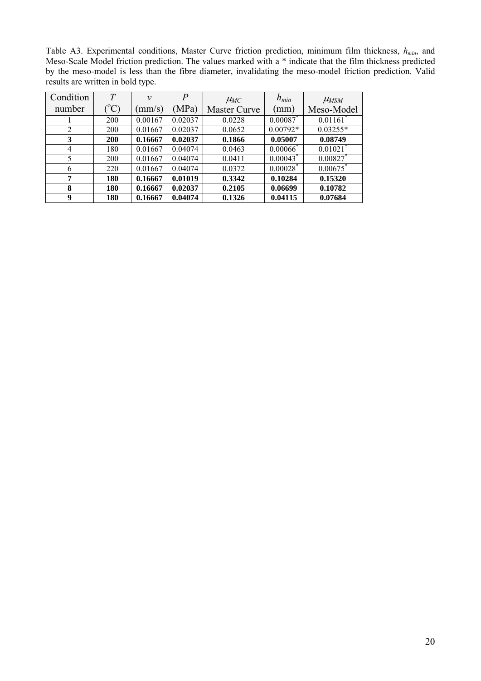Table A3. Experimental conditions, Master Curve friction prediction, minimum film thickness,  $h_{min}$ , and Meso-Scale Model friction prediction. The values marked with a \* indicate that the film thickness predicted by the meso-model is less than the fibre diameter, invalidating the meso-model friction prediction. Valid results are written in bold type.

| Condition      | T             | $\mathcal V$  | $\overline{P}$ | $\mu_{MC}$          | $h_{min}$   | $\mu_{MSM}$            |
|----------------|---------------|---------------|----------------|---------------------|-------------|------------------------|
| number         | $^{\circ}$ C) | $\text{mm/s}$ | (MPa)          | <b>Master Curve</b> | (mm)        | Meso-Model             |
|                | 200           | 0.00167       | 0.02037        | 0.0228              | 0.00087     | $0.01161$ <sup>*</sup> |
| 2              | <b>200</b>    | 0.01667       | 0.02037        | 0.0652              | $0.00792*$  | $0.03255*$             |
| 3              | 200           | 0.16667       | 0.02037        | 0.1866              | 0.05007     | 0.08749                |
| $\overline{4}$ | 180           | 0.01667       | 0.04074        | 0.0463              | $0.00066^*$ | $0.01021$ <sup>*</sup> |
| 5              | <b>200</b>    | 0.01667       | 0.04074        | 0.0411              | $0.00043^*$ | 0.00827                |
| 6              | 220           | 0.01667       | 0.04074        | 0.0372              | $0.00028^*$ | 0.00675                |
| 7              | 180           | 0.16667       | 0.01019        | 0.3342              | 0.10284     | 0.15320                |
| 8              | 180           | 0.16667       | 0.02037        | 0.2105              | 0.06699     | 0.10782                |
| 9              | 180           | 0.16667       | 0.04074        | 0.1326              | 0.04115     | 0.07684                |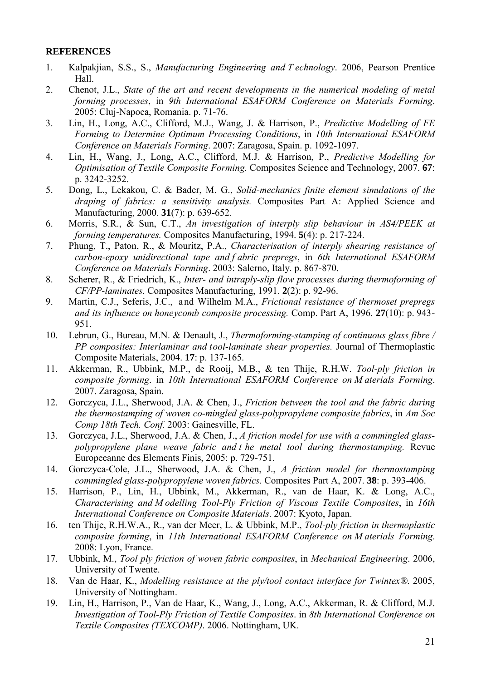#### **REFERENCES**

- 1. Kalpakjian, S.S., S., *Manufacturing Engineering and T echnology*. 2006, Pearson Prentice Hall.
- 2. Chenot, J.L., *State of the art and recent developments in the numerical modeling of metal forming processes*, in *9th International ESAFORM Conference on Materials Forming*. 2005: Cluj-Napoca, Romania. p. 71-76.
- 3. Lin, H., Long, A.C., Clifford, M.J., Wang, J. & Harrison, P., *Predictive Modelling of FE Forming to Determine Optimum Processing Conditions*, in *10th International ESAFORM Conference on Materials Forming*. 2007: Zaragosa, Spain. p. 1092-1097.
- 4. Lin, H., Wang, J., Long, A.C., Clifford, M.J. & Harrison, P., *Predictive Modelling for Optimisation of Textile Composite Forming.* Composites Science and Technology, 2007. **67**: p. 3242-3252.
- 5. Dong, L., Lekakou, C. & Bader, M. G., *Solid-mechanics finite element simulations of the draping of fabrics: a sensitivity analysis.* Composites Part A: Applied Science and Manufacturing, 2000. **31**(7): p. 639-652.
- 6. Morris, S.R., & Sun, C.T., *An investigation of interply slip behaviour in AS4/PEEK at forming temperatures.* Composites Manufacturing, 1994. **5**(4): p. 217-224.
- 7. Phung, T., Paton, R., & Mouritz, P.A., *Characterisation of interply shearing resistance of carbon-epoxy unidirectional tape and f abric prepregs*, in *6th International ESAFORM Conference on Materials Forming*. 2003: Salerno, Italy. p. 867-870.
- 8. Scherer, R., & Friedrich, K., *Inter- and intraply-slip flow processes during thermoforming of CF/PP-laminates.* Composites Manufacturing, 1991. **2**(2): p. 92-96.
- 9. Martin, C.J., Seferis, J.C., and Wilhelm M.A., *Frictional resistance of thermoset prepregs and its influence on honeycomb composite processing.* Comp. Part A, 1996. **27**(10): p. 943- 951.
- 10. Lebrun, G., Bureau, M.N. & Denault, J., *Thermoforming-stamping of continuous glass fibre / PP composites: Interlaminar and tool-laminate shear properties.* Journal of Thermoplastic Composite Materials, 2004. **17**: p. 137-165.
- 11. Akkerman, R., Ubbink, M.P., de Rooij, M.B., & ten Thije, R.H.W. *Tool-ply friction in composite forming*. in *10th International ESAFORM Conference on M aterials Forming*. 2007. Zaragosa, Spain.
- 12. Gorczyca, J.L., Sherwood, J.A. & Chen, J., *Friction between the tool and the fabric during the thermostamping of woven co-mingled glass-polypropylene composite fabrics*, in *Am Soc Comp 18th Tech. Conf.* 2003: Gainesville, FL.
- 13. Gorczyca, J.L., Sherwood, J.A. & Chen, J., *A friction model for use with a commingled glasspolypropylene plane weave fabric and t he metal tool during thermostamping.* Revue Europeeanne des Elements Finis, 2005: p. 729-751.
- 14. Gorczyca-Cole, J.L., Sherwood, J.A. & Chen, J., *A friction model for thermostamping commingled glass-polypropylene woven fabrics.* Composites Part A, 2007. **38**: p. 393-406.
- 15. Harrison, P., Lin, H., Ubbink, M., Akkerman, R., van de Haar, K. & Long, A.C., *Characterising and M odelling Tool-Ply Friction of Viscous Textile Composites*, in *16th International Conference on Composite Materials*. 2007: Kyoto, Japan.
- 16. ten Thije, R.H.W.A., R., van der Meer, L. & Ubbink, M.P., *Tool-ply friction in thermoplastic composite forming*, in *11th International ESAFORM Conference on M aterials Forming*. 2008: Lyon, France.
- 17. Ubbink, M., *Tool ply friction of woven fabric composites*, in *Mechanical Engineering*. 2006, University of Twente.
- 18. Van de Haar, K., *Modelling resistance at the ply/tool contact interface for Twintex®*. 2005, University of Nottingham.
- 19. Lin, H., Harrison, P., Van de Haar, K., Wang, J., Long, A.C., Akkerman, R. & Clifford, M.J. *Investigation of Tool-Ply Friction of Textile Composites*. in *8th International Conference on Textile Composites (TEXCOMP)*. 2006. Nottingham, UK.